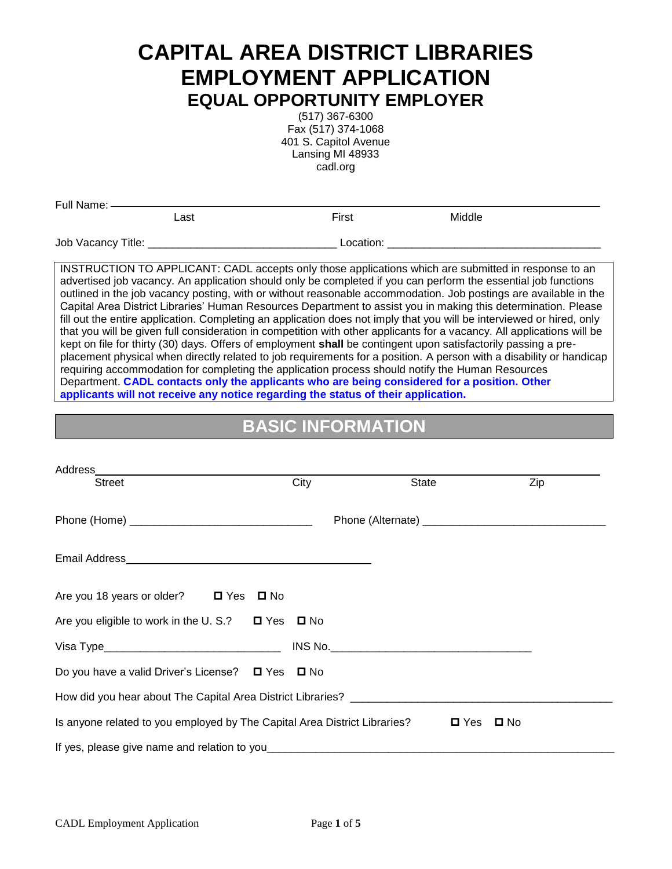# **CAPITAL AREA DISTRICT LIBRARIES EMPLOYMENT APPLICATION EQUAL OPPORTUNITY EMPLOYER**

(517) 367-6300 Fax (517) 374-1068 401 S. Capitol Avenue Lansing MI 48933 cadl.org

| Full Name: -       |      |           |        |  |
|--------------------|------|-----------|--------|--|
|                    | _ast | First     | Middle |  |
| Job Vacancy Title: |      | Location: |        |  |

INSTRUCTION TO APPLICANT: CADL accepts only those applications which are submitted in response to an advertised job vacancy. An application should only be completed if you can perform the essential job functions outlined in the job vacancy posting, with or without reasonable accommodation. Job postings are available in the Capital Area District Libraries' Human Resources Department to assist you in making this determination. Please fill out the entire application. Completing an application does not imply that you will be interviewed or hired, only that you will be given full consideration in competition with other applicants for a vacancy. All applications will be kept on file for thirty (30) days. Offers of employment **shall** be contingent upon satisfactorily passing a preplacement physical when directly related to job requirements for a position. A person with a disability or handicap requiring accommodation for completing the application process should notify the Human Resources Department. **CADL contacts only the applicants who are being considered for a position. Other applicants will not receive any notice regarding the status of their application.**

## **BASIC INFORMATION**

| <b>Street</b>                                                                                  | City | State | Zip |
|------------------------------------------------------------------------------------------------|------|-------|-----|
|                                                                                                |      |       |     |
|                                                                                                |      |       |     |
|                                                                                                |      |       |     |
| Are you 18 years or older? $\Box$ Yes<br>$\square$ No                                          |      |       |     |
| Are you eligible to work in the U.S.? $\Box$ Yes $\Box$ No                                     |      |       |     |
|                                                                                                |      |       |     |
| Do you have a valid Driver's License? $\Box$ Yes $\Box$ No                                     |      |       |     |
|                                                                                                |      |       |     |
| Is anyone related to you employed by The Capital Area District Libraries? $\Box$ Yes $\Box$ No |      |       |     |
| If yes, please give name and relation to you_                                                  |      |       |     |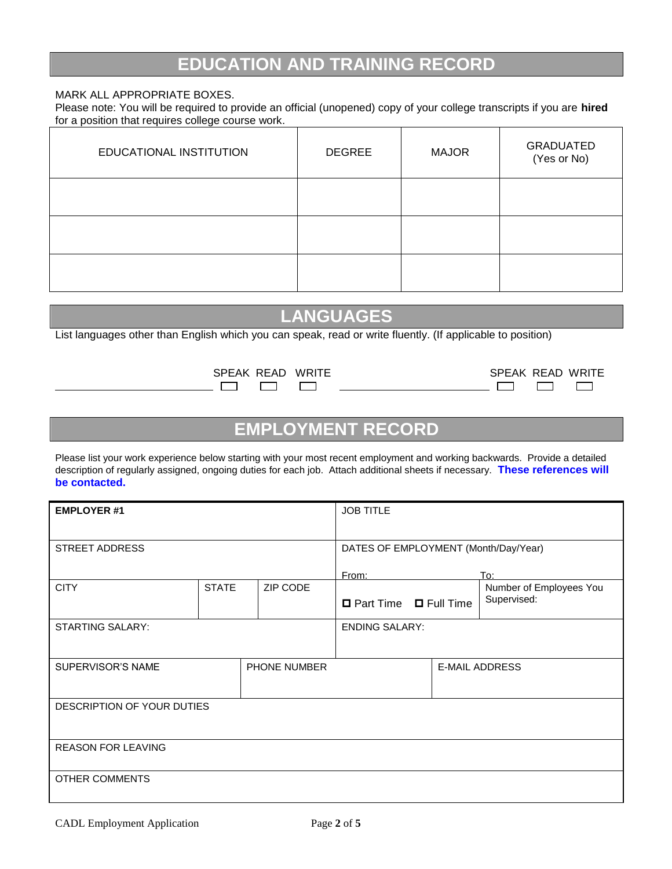### **EDUCATION AND TRAINING RECORD**

#### MARK ALL APPROPRIATE BOXES.

Please note: You will be required to provide an official (unopened) copy of your college transcripts if you are **hired** for a position that requires college course work.

| EDUCATIONAL INSTITUTION | <b>DEGREE</b> | <b>MAJOR</b> | <b>GRADUATED</b><br>(Yes or No) |
|-------------------------|---------------|--------------|---------------------------------|
|                         |               |              |                                 |
|                         |               |              |                                 |
|                         |               |              |                                 |

## **LANGUAGES**

List languages other than English which you can speak, read or write fluently. (If applicable to position)

| SPEAK READ WRITE |  |
|------------------|--|
|                  |  |

| SPEAK READ | <b>WRITE</b> | SPEAK READ WRITE |  |
|------------|--------------|------------------|--|
|            |              |                  |  |

### **EMPLOYMENT RECORD**

Please list your work experience below starting with your most recent employment and working backwards. Provide a detailed description of regularly assigned, ongoing duties for each job. Attach additional sheets if necessary. **These references will be contacted.**

| <b>EMPLOYER #1</b>         |              |              | <b>JOB TITLE</b>                     |  |                                |
|----------------------------|--------------|--------------|--------------------------------------|--|--------------------------------|
| <b>STREET ADDRESS</b>      |              |              | DATES OF EMPLOYMENT (Month/Day/Year) |  |                                |
| <b>CITY</b>                | <b>STATE</b> | ZIP CODE     | From:                                |  | To:<br>Number of Employees You |
|                            |              |              | □ Part Time □ Full Time              |  | Supervised:                    |
| <b>STARTING SALARY:</b>    |              |              | <b>ENDING SALARY:</b>                |  |                                |
| SUPERVISOR'S NAME          |              | PHONE NUMBER |                                      |  | <b>E-MAIL ADDRESS</b>          |
| DESCRIPTION OF YOUR DUTIES |              |              |                                      |  |                                |
| <b>REASON FOR LEAVING</b>  |              |              |                                      |  |                                |
| <b>OTHER COMMENTS</b>      |              |              |                                      |  |                                |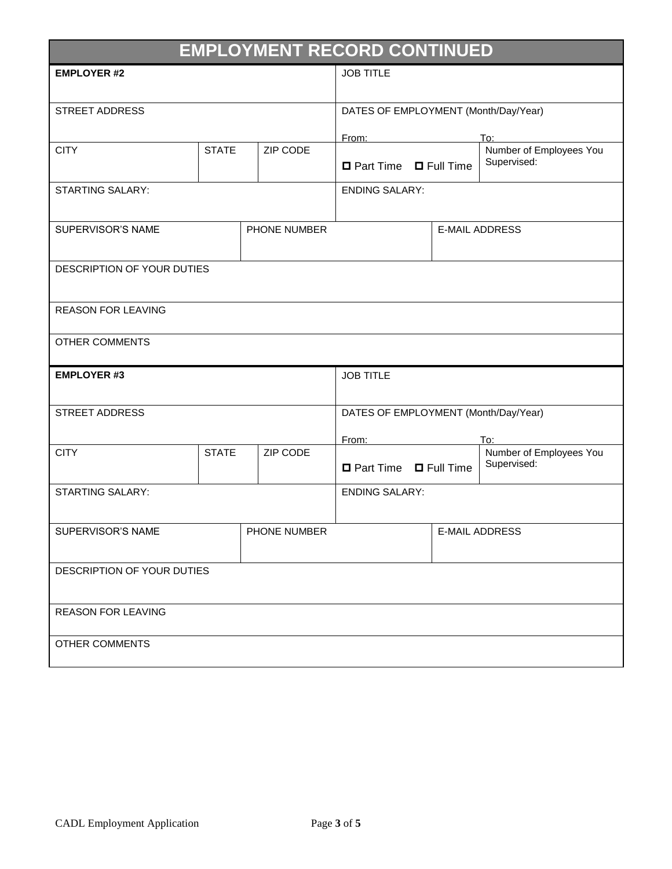| <b>EMPLOYMENT RECORD CONTINUED</b> |              |                       |  |                                      |                |                                        |
|------------------------------------|--------------|-----------------------|--|--------------------------------------|----------------|----------------------------------------|
| <b>EMPLOYER #2</b>                 |              | <b>JOB TITLE</b>      |  |                                      |                |                                        |
|                                    |              |                       |  |                                      |                |                                        |
| <b>STREET ADDRESS</b>              |              |                       |  | DATES OF EMPLOYMENT (Month/Day/Year) |                |                                        |
|                                    |              |                       |  | From:<br>To:                         |                |                                        |
| <b>CITY</b>                        | <b>STATE</b> | ZIP CODE              |  | □ Part Time □ Full Time              |                | Number of Employees You<br>Supervised: |
| <b>STARTING SALARY:</b>            |              |                       |  | <b>ENDING SALARY:</b>                |                |                                        |
| SUPERVISOR'S NAME                  |              | PHONE NUMBER          |  |                                      |                | <b>E-MAIL ADDRESS</b>                  |
| DESCRIPTION OF YOUR DUTIES         |              |                       |  |                                      |                |                                        |
| <b>REASON FOR LEAVING</b>          |              |                       |  |                                      |                |                                        |
| <b>OTHER COMMENTS</b>              |              |                       |  |                                      |                |                                        |
| <b>EMPLOYER #3</b>                 |              | <b>JOB TITLE</b>      |  |                                      |                |                                        |
| STREET ADDRESS                     |              |                       |  | DATES OF EMPLOYMENT (Month/Day/Year) |                |                                        |
|                                    |              |                       |  | From:                                |                | To:                                    |
| <b>CITY</b>                        | <b>STATE</b> | ZIP CODE              |  | □ Part Time □ Full Time              |                | Number of Employees You<br>Supervised: |
| <b>STARTING SALARY:</b>            |              | <b>ENDING SALARY:</b> |  |                                      |                |                                        |
| SUPERVISOR'S NAME                  |              | PHONE NUMBER          |  |                                      | E-MAIL ADDRESS |                                        |
| DESCRIPTION OF YOUR DUTIES         |              |                       |  |                                      |                |                                        |
| <b>REASON FOR LEAVING</b>          |              |                       |  |                                      |                |                                        |
| <b>OTHER COMMENTS</b>              |              |                       |  |                                      |                |                                        |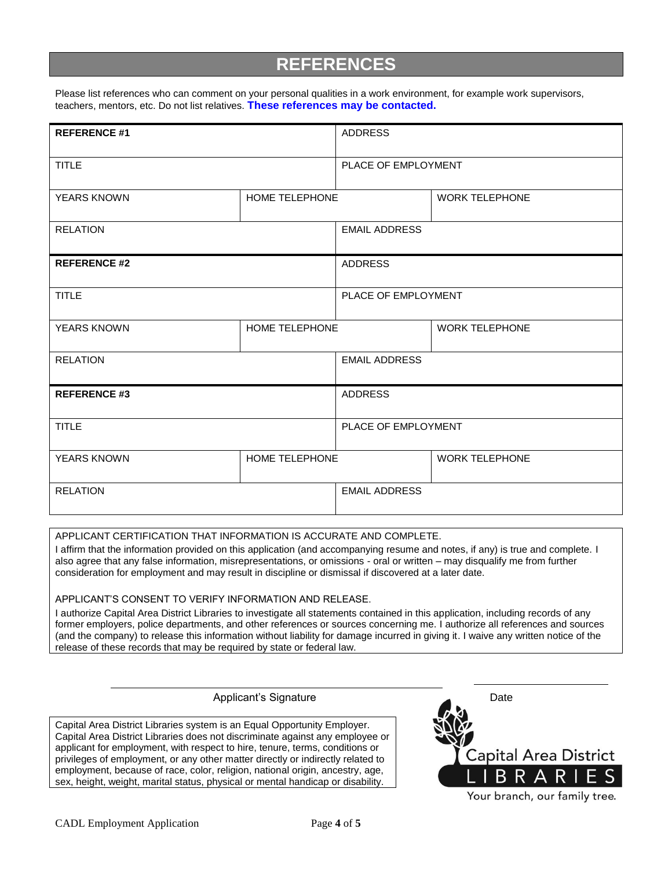### **REFERENCES**

Please list references who can comment on your personal qualities in a work environment, for example work supervisors, teachers, mentors, etc. Do not list relatives. **These references may be contacted.**

| <b>REFERENCE #1</b> |                | <b>ADDRESS</b>       |                       |  |
|---------------------|----------------|----------------------|-----------------------|--|
| <b>TITLE</b>        |                | PLACE OF EMPLOYMENT  |                       |  |
| <b>YEARS KNOWN</b>  | HOME TELEPHONE |                      | <b>WORK TELEPHONE</b> |  |
| <b>RELATION</b>     |                | <b>EMAIL ADDRESS</b> |                       |  |
| <b>REFERENCE #2</b> |                | <b>ADDRESS</b>       |                       |  |
| <b>TITLE</b>        |                | PLACE OF EMPLOYMENT  |                       |  |
| <b>YEARS KNOWN</b>  | HOME TELEPHONE |                      | <b>WORK TELEPHONE</b> |  |
| <b>RELATION</b>     |                | <b>EMAIL ADDRESS</b> |                       |  |
| <b>REFERENCE #3</b> |                | <b>ADDRESS</b>       |                       |  |
| <b>TITLE</b>        |                | PLACE OF EMPLOYMENT  |                       |  |
| <b>YEARS KNOWN</b>  | HOME TELEPHONE |                      | <b>WORK TELEPHONE</b> |  |
| <b>RELATION</b>     |                | <b>EMAIL ADDRESS</b> |                       |  |

APPLICANT CERTIFICATION THAT INFORMATION IS ACCURATE AND COMPLETE.

I affirm that the information provided on this application (and accompanying resume and notes, if any) is true and complete. I also agree that any false information, misrepresentations, or omissions - oral or written – may disqualify me from further consideration for employment and may result in discipline or dismissal if discovered at a later date.

APPLICANT'S CONSENT TO VERIFY INFORMATION AND RELEASE.

I authorize Capital Area District Libraries to investigate all statements contained in this application, including records of any former employers, police departments, and other references or sources concerning me. I authorize all references and sources (and the company) to release this information without liability for damage incurred in giving it. I waive any written notice of the release of these records that may be required by state or federal law.

Applicant's Signature Date

Capital Area District Libraries system is an Equal Opportunity Employer. Capital Area District Libraries does not discriminate against any employee or applicant for employment, with respect to hire, tenure, terms, conditions or privileges of employment, or any other matter directly or indirectly related to employment, because of race, color, religion, national origin, ancestry, age, sex, height, weight, marital status, physical or mental handicap or disability.